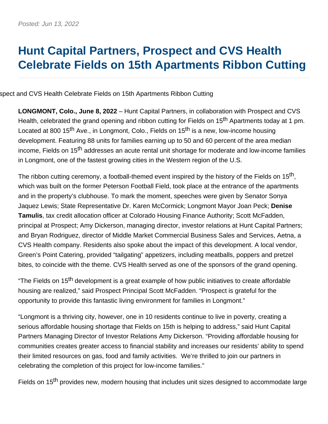# **Hunt Capital Partners, Prospect and CVS Health Celebrate Fields on 15th Apartments Ribbon Cutting**

spect and CVS Health Celebrate Fields on 15th Apartments Ribbon Cutting

**LONGMONT, Colo., June 8, 2022** – Hunt Capital Partners, in collaboration with Prospect and CVS Health, celebrated the grand opening and ribbon cutting for Fields on 15<sup>th</sup> Apartments today at 1 pm. Located at 800 15<sup>th</sup> Ave., in Longmont, Colo., Fields on 15<sup>th</sup> is a new, low-income housing development. Featuring 88 units for families earning up to 50 and 60 percent of the area median income, Fields on 15th addresses an acute rental unit shortage for moderate and low-income families in Longmont, one of the fastest growing cities in the Western region of the U.S.

The ribbon cutting ceremony, a football-themed event inspired by the history of the Fields on 15<sup>th</sup>. which was built on the former Peterson Football Field, took place at the entrance of the apartments and in the property's clubhouse. To mark the moment, speeches were given by Senator Sonya Jaquez Lewis; State Representative Dr. Karen McCormick; Longmont Mayor Joan Peck; **Denise Tamulis**, tax credit allocation officer at Colorado Housing Finance Authority; Scott McFadden, principal at Prospect; Amy Dickerson, managing director, investor relations at Hunt Capital Partners; and Bryan Rodriguez, director of Middle Market Commercial Business Sales and Services, Aetna, a CVS Health company. Residents also spoke about the impact of this development. A local vendor, Green's Point Catering, provided "tailgating" appetizers, including meatballs, poppers and pretzel bites, to coincide with the theme. CVS Health served as one of the sponsors of the grand opening.

"The Fields on 15<sup>th</sup> development is a great example of how public initiatives to create affordable housing are realized," said Prospect Principal Scott McFadden. "Prospect is grateful for the opportunity to provide this fantastic living environment for families in Longmont."

"Longmont is a thriving city, however, one in 10 residents continue to live in poverty, creating a serious affordable housing shortage that Fields on 15th is helping to address," said Hunt Capital Partners Managing Director of Investor Relations Amy Dickerson. "Providing affordable housing for communities creates greater access to financial stability and increases our residents' ability to spend their limited resources on gas, food and family activities. We're thrilled to join our partners in celebrating the completion of this project for low-income families."

Fields on 15<sup>th</sup> provides new, modern housing that includes unit sizes designed to accommodate large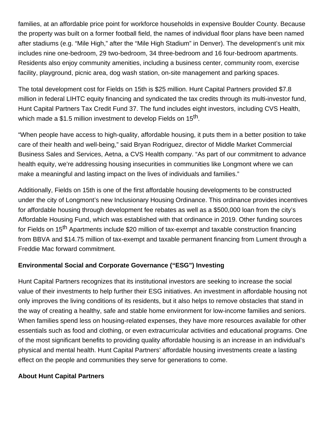families, at an affordable price point for workforce households in expensive Boulder County. Because the property was built on a former football field, the names of individual floor plans have been named after stadiums (e.g. "Mile High," after the "Mile High Stadium" in Denver). The development's unit mix includes nine one-bedroom, 29 two-bedroom, 34 three-bedroom and 16 four-bedroom apartments. Residents also enjoy community amenities, including a business center, community room, exercise facility, playground, picnic area, dog wash station, on-site management and parking spaces.

The total development cost for Fields on 15th is \$25 million. Hunt Capital Partners provided \$7.8 million in federal LIHTC equity financing and syndicated the tax credits through its multi-investor fund, Hunt Capital Partners Tax Credit Fund 37. The fund includes eight investors, including CVS Health, which made a \$1.5 million investment to develop Fields on 15<sup>th</sup>.

"When people have access to high-quality, affordable housing, it puts them in a better position to take care of their health and well-being," said Bryan Rodriguez, director of Middle Market Commercial Business Sales and Services, Aetna, a CVS Health company. "As part of our commitment to advance health equity, we're addressing housing insecurities in communities like Longmont where we can make a meaningful and lasting impact on the lives of individuals and families."

Additionally, Fields on 15th is one of the first affordable housing developments to be constructed under the city of Longmont's new Inclusionary Housing Ordinance. This ordinance provides incentives for affordable housing through development fee rebates as well as a \$500,000 loan from the city's Affordable Housing Fund, which was established with that ordinance in 2019. Other funding sources for Fields on 15<sup>th</sup> Apartments include \$20 million of tax-exempt and taxable construction financing from BBVA and \$14.75 million of tax-exempt and taxable permanent financing from Lument through a Freddie Mac forward commitment.

# **Environmental Social and Corporate Governance ("ESG") Investing**

Hunt Capital Partners recognizes that its institutional investors are seeking to increase the social value of their investments to help further their ESG initiatives. An investment in affordable housing not only improves the living conditions of its residents, but it also helps to remove obstacles that stand in the way of creating a healthy, safe and stable home environment for low-income families and seniors. When families spend less on housing-related expenses, they have more resources available for other essentials such as food and clothing, or even extracurricular activities and educational programs. One of the most significant benefits to providing quality affordable housing is an increase in an individual's physical and mental health. Hunt Capital Partners' affordable housing investments create a lasting effect on the people and communities they serve for generations to come.

### **About Hunt Capital Partners**